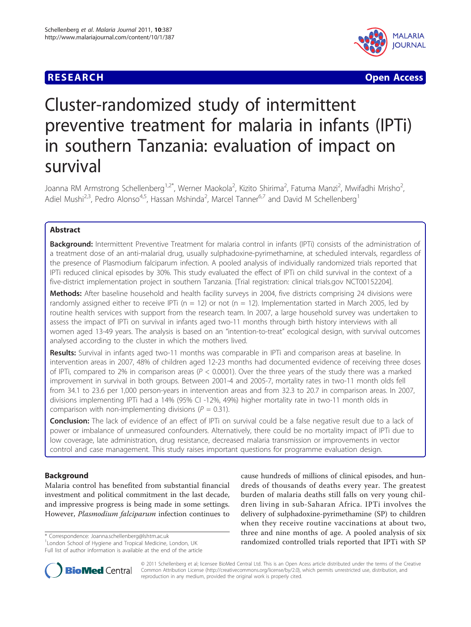## **RESEARCH CONSTRUCTION CONTROL**



# Cluster-randomized study of intermittent preventive treatment for malaria in infants (IPTi) in southern Tanzania: evaluation of impact on survival

Joanna RM Armstrong Schellenberg<sup>1,2\*</sup>, Werner Maokola<sup>2</sup>, Kizito Shirima<sup>2</sup>, Fatuma Manzi<sup>2</sup>, Mwifadhi Mrisho<sup>2</sup> , Adiel Mushi<sup>2,3</sup>, Pedro Alonso<sup>4,5</sup>, Hassan Mshinda<sup>2</sup>, Marcel Tanner<sup>6,7</sup> and David M Schellenberg<sup>1</sup>

## Abstract

**Background:** Intermittent Preventive Treatment for malaria control in infants (IPTi) consists of the administration of a treatment dose of an anti-malarial drug, usually sulphadoxine-pyrimethamine, at scheduled intervals, regardless of the presence of Plasmodium falciparum infection. A pooled analysis of individually randomized trials reported that IPTi reduced clinical episodes by 30%. This study evaluated the effect of IPTi on child survival in the context of a five-district implementation project in southern Tanzania. [Trial registration: clinical trials.gov NCT00152204].

Methods: After baseline household and health facility surveys in 2004, five districts comprising 24 divisions were randomly assigned either to receive IPTi ( $n = 12$ ) or not ( $n = 12$ ). Implementation started in March 2005, led by routine health services with support from the research team. In 2007, a large household survey was undertaken to assess the impact of IPTi on survival in infants aged two-11 months through birth history interviews with all women aged 13-49 years. The analysis is based on an "intention-to-treat" ecological design, with survival outcomes analysed according to the cluster in which the mothers lived.

Results: Survival in infants aged two-11 months was comparable in IPTi and comparison areas at baseline. In intervention areas in 2007, 48% of children aged 12-23 months had documented evidence of receiving three doses of IPTi, compared to 2% in comparison areas ( $P < 0.0001$ ). Over the three years of the study there was a marked improvement in survival in both groups. Between 2001-4 and 2005-7, mortality rates in two-11 month olds fell from 34.1 to 23.6 per 1,000 person-years in intervention areas and from 32.3 to 20.7 in comparison areas. In 2007, divisions implementing IPTi had a 14% (95% CI -12%, 49%) higher mortality rate in two-11 month olds in comparison with non-implementing divisions ( $P = 0.31$ ).

Conclusion: The lack of evidence of an effect of IPTi on survival could be a false negative result due to a lack of power or imbalance of unmeasured confounders. Alternatively, there could be no mortality impact of IPTi due to low coverage, late administration, drug resistance, decreased malaria transmission or improvements in vector control and case management. This study raises important questions for programme evaluation design.

## Background

Malaria control has benefited from substantial financial investment and political commitment in the last decade, and impressive progress is being made in some settings. However, Plasmodium falciparum infection continues to

<sup>1</sup> London School of Hygiene and Tropical Medicine, London, UK Full list of author information is available at the end of the article

cause hundreds of millions of clinical episodes, and hundreds of thousands of deaths every year. The greatest burden of malaria deaths still falls on very young children living in sub-Saharan Africa. IPTi involves the delivery of sulphadoxine-pyrimethamine (SP) to children when they receive routine vaccinations at about two, three and nine months of age. A pooled analysis of six randomized correspondence: [Joanna.schellenberg@lshtm.ac.uk](mailto:Joanna.schellenberg@lshtm.ac.uk)<br>
<sup>1</sup>London School of Hygiene and Tropical Medicine, London, UK **\* 1898 / Trandomized controlled trials reported that IPTi with SP** 



© 2011 Schellenberg et al; licensee BioMed Central Ltd. This is an Open Acess article distributed under the terms of the Creative Common Attribution License (<http://creativecommons.org/license/by/2.0>), which permits unrestricted use, distribution, and reproduction in any medium, provided the original work is properly cited.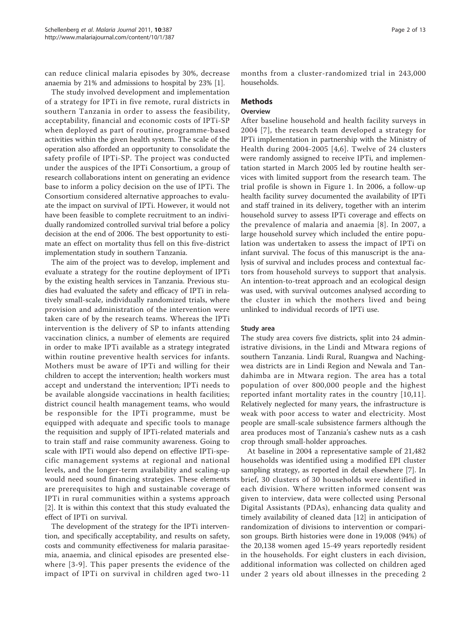can reduce clinical malaria episodes by 30%, decrease anaemia by 21% and admissions to hospital by 23% [\[1](#page-12-0)].

The study involved development and implementation of a strategy for IPTi in five remote, rural districts in southern Tanzania in order to assess the feasibility, acceptability, financial and economic costs of IPTi-SP when deployed as part of routine, programme-based activities within the given health system. The scale of the operation also afforded an opportunity to consolidate the safety profile of IPTi-SP. The project was conducted under the auspices of the IPTi Consortium, a group of research collaborations intent on generating an evidence base to inform a policy decision on the use of IPTi. The Consortium considered alternative approaches to evaluate the impact on survival of IPTi. However, it would not have been feasible to complete recruitment to an individually randomized controlled survival trial before a policy decision at the end of 2006. The best opportunity to estimate an effect on mortality thus fell on this five-district implementation study in southern Tanzania.

The aim of the project was to develop, implement and evaluate a strategy for the routine deployment of IPTi by the existing health services in Tanzania. Previous studies had evaluated the safety and efficacy of IPTi in relatively small-scale, individually randomized trials, where provision and administration of the intervention were taken care of by the research teams. Whereas the IPTi intervention is the delivery of SP to infants attending vaccination clinics, a number of elements are required in order to make IPTi available as a strategy integrated within routine preventive health services for infants. Mothers must be aware of IPTi and willing for their children to accept the intervention; health workers must accept and understand the intervention; IPTi needs to be available alongside vaccinations in health facilities; district council health management teams, who would be responsible for the IPTi programme, must be equipped with adequate and specific tools to manage the requisition and supply of IPTi-related materials and to train staff and raise community awareness. Going to scale with IPTi would also depend on effective IPTi-specific management systems at regional and national levels, and the longer-term availability and scaling-up would need sound financing strategies. These elements are prerequisites to high and sustainable coverage of IPTi in rural communities within a systems approach [[2\]](#page-12-0). It is within this context that this study evaluated the effect of IPTi on survival.

The development of the strategy for the IPTi intervention, and specifically acceptability, and results on safety, costs and community effectiveness for malaria parasitaemia, anaemia, and clinical episodes are presented elsewhere [[3](#page-12-0)-[9\]](#page-12-0). This paper presents the evidence of the impact of IPTi on survival in children aged two-11

months from a cluster-randomized trial in 243,000 households.

## Methods

## Overview

After baseline household and health facility surveys in 2004 [[7](#page-12-0)], the research team developed a strategy for IPTi implementation in partnership with the Ministry of Health during 2004-2005 [[4](#page-12-0),[6](#page-12-0)]. Twelve of 24 clusters were randomly assigned to receive IPTi, and implementation started in March 2005 led by routine health services with limited support from the research team. The trial profile is shown in Figure [1](#page-2-0). In 2006, a follow-up health facility survey documented the availability of IPTi and staff trained in its delivery, together with an interim household survey to assess IPTi coverage and effects on the prevalence of malaria and anaemia [\[8\]](#page-12-0). In 2007, a large household survey which included the entire population was undertaken to assess the impact of IPTi on infant survival. The focus of this manuscript is the analysis of survival and includes process and contextual factors from household surveys to support that analysis. An intention-to-treat approach and an ecological design was used, with survival outcomes analysed according to the cluster in which the mothers lived and being unlinked to individual records of IPTi use.

#### Study area

The study area covers five districts, split into 24 administrative divisions, in the Lindi and Mtwara regions of southern Tanzania. Lindi Rural, Ruangwa and Nachingwea districts are in Lindi Region and Newala and Tandahimba are in Mtwara region. The area has a total population of over 800,000 people and the highest reported infant mortality rates in the country [[10](#page-12-0),[11](#page-12-0)]. Relatively neglected for many years, the infrastructure is weak with poor access to water and electricity. Most people are small-scale subsistence farmers although the area produces most of Tanzania's cashew nuts as a cash crop through small-holder approaches.

At baseline in 2004 a representative sample of 21,482 households was identified using a modified EPI cluster sampling strategy, as reported in detail elsewhere [\[7](#page-12-0)]. In brief, 30 clusters of 30 households were identified in each division. Where written informed consent was given to interview, data were collected using Personal Digital Assistants (PDAs), enhancing data quality and timely availability of cleaned data [\[12](#page-12-0)] in anticipation of randomization of divisions to intervention or comparison groups. Birth histories were done in 19,008 (94%) of the 20,138 women aged 15-49 years reportedly resident in the households. For eight clusters in each division, additional information was collected on children aged under 2 years old about illnesses in the preceding 2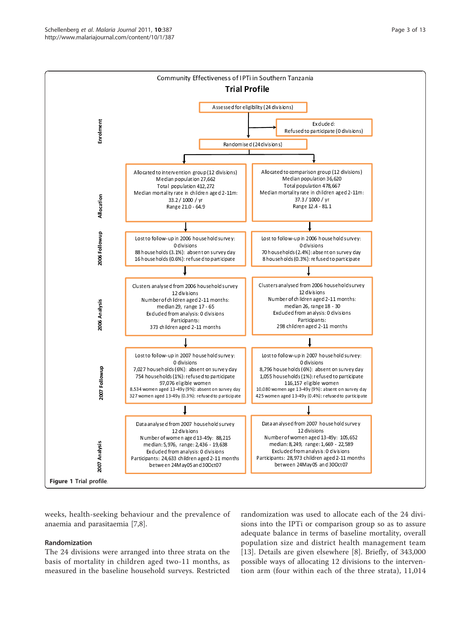<span id="page-2-0"></span>

weeks, health-seeking behaviour and the prevalence of anaemia and parasitaemia [[7,8\]](#page-12-0).

## Randomization

The 24 divisions were arranged into three strata on the basis of mortality in children aged two-11 months, as measured in the baseline household surveys. Restricted

randomization was used to allocate each of the 24 divisions into the IPTi or comparison group so as to assure adequate balance in terms of baseline mortality, overall population size and district health management team [[13\]](#page-12-0). Details are given elsewhere [[8](#page-12-0)]. Briefly, of 343,000 possible ways of allocating 12 divisions to the intervention arm (four within each of the three strata), 11,014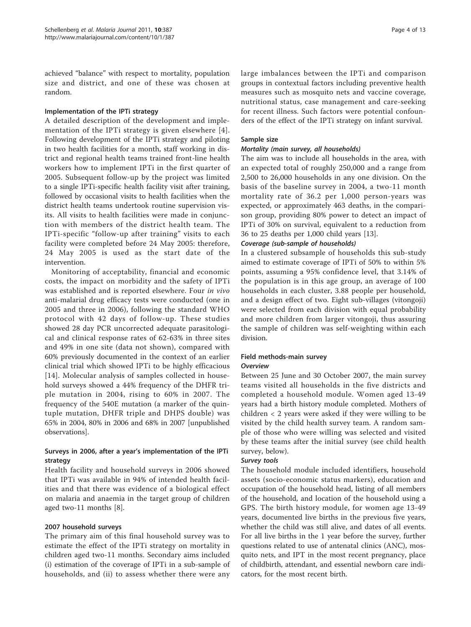achieved "balance" with respect to mortality, population size and district, and one of these was chosen at random.

## Implementation of the IPTi strategy

A detailed description of the development and implementation of the IPTi strategy is given elsewhere [[4\]](#page-12-0). Following development of the IPTi strategy and piloting in two health facilities for a month, staff working in district and regional health teams trained front-line health workers how to implement IPTi in the first quarter of 2005. Subsequent follow-up by the project was limited to a single IPTi-specific health facility visit after training, followed by occasional visits to health facilities when the district health teams undertook routine supervision visits. All visits to health facilities were made in conjunction with members of the district health team. The IPTi-specific "follow-up after training" visits to each facility were completed before 24 May 2005: therefore, 24 May 2005 is used as the start date of the intervention.

Monitoring of acceptability, financial and economic costs, the impact on morbidity and the safety of IPTi was established and is reported elsewhere. Four in vivo anti-malarial drug efficacy tests were conducted (one in 2005 and three in 2006), following the standard WHO protocol with 42 days of follow-up. These studies showed 28 day PCR uncorrected adequate parasitological and clinical response rates of 62-63% in three sites and 49% in one site (data not shown), compared with 60% previously documented in the context of an earlier clinical trial which showed IPTi to be highly efficacious [[14](#page-12-0)]. Molecular analysis of samples collected in household surveys showed a 44% frequency of the DHFR triple mutation in 2004, rising to 60% in 2007. The frequency of the 540E mutation (a marker of the quintuple mutation, DHFR triple and DHPS double) was 65% in 2004, 80% in 2006 and 68% in 2007 [unpublished observations].

## Surveys in 2006, after a year's implementation of the IPTi strategy

Health facility and household surveys in 2006 showed that IPTi was available in 94% of intended health facilities and that there was evidence of a biological effect on malaria and anaemia in the target group of children aged two-11 months [\[8](#page-12-0)].

## 2007 household surveys

The primary aim of this final household survey was to estimate the effect of the IPTi strategy on mortality in children aged two-11 months. Secondary aims included (i) estimation of the coverage of IPTi in a sub-sample of households, and (ii) to assess whether there were any large imbalances between the IPTi and comparison groups in contextual factors including preventive health measures such as mosquito nets and vaccine coverage, nutritional status, case management and care-seeking for recent illness. Such factors were potential confounders of the effect of the IPTi strategy on infant survival.

## Sample size

## Mortality (main survey, all households)

The aim was to include all households in the area, with an expected total of roughly 250,000 and a range from 2,500 to 26,000 households in any one division. On the basis of the baseline survey in 2004, a two-11 month mortality rate of 36.2 per 1,000 person-years was expected, or approximately 463 deaths, in the comparison group, providing 80% power to detect an impact of IPTi of 30% on survival, equivalent to a reduction from 36 to 25 deaths per 1,000 child years [\[13\]](#page-12-0).

## Coverage (sub-sample of households)

In a clustered subsample of households this sub-study aimed to estimate coverage of IPTi of 50% to within 5% points, assuming a 95% confidence level, that 3.14% of the population is in this age group, an average of 100 households in each cluster, 3.88 people per household, and a design effect of two. Eight sub-villages (vitongoji) were selected from each division with equal probability and more children from larger vitongoji, thus assuring the sample of children was self-weighting within each division.

## Field methods-main survey

## **Overview**

Between 25 June and 30 October 2007, the main survey teams visited all households in the five districts and completed a household module. Women aged 13-49 years had a birth history module completed. Mothers of children < 2 years were asked if they were willing to be visited by the child health survey team. A random sample of those who were willing was selected and visited by these teams after the initial survey (see child health survey, below).

## Survey tools

The household module included identifiers, household assets (socio-economic status markers), education and occupation of the household head, listing of all members of the household, and location of the household using a GPS. The birth history module, for women age 13-49 years, documented live births in the previous five years, whether the child was still alive, and dates of all events. For all live births in the 1 year before the survey, further questions related to use of antenatal clinics (ANC), mosquito nets, and IPT in the most recent pregnancy, place of childbirth, attendant, and essential newborn care indicators, for the most recent birth.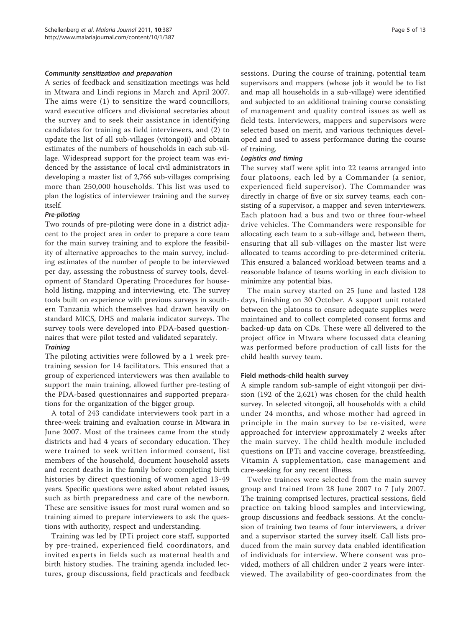#### Community sensitization and preparation

A series of feedback and sensitization meetings was held in Mtwara and Lindi regions in March and April 2007. The aims were (1) to sensitize the ward councillors, ward executive officers and divisional secretaries about the survey and to seek their assistance in identifying candidates for training as field interviewers, and (2) to update the list of all sub-villages (vitongoji) and obtain estimates of the numbers of households in each sub-village. Widespread support for the project team was evidenced by the assistance of local civil administrators in developing a master list of 2,766 sub-villages comprising more than 250,000 households. This list was used to plan the logistics of interviewer training and the survey itself.

#### Pre-piloting

Two rounds of pre-piloting were done in a district adjacent to the project area in order to prepare a core team for the main survey training and to explore the feasibility of alternative approaches to the main survey, including estimates of the number of people to be interviewed per day, assessing the robustness of survey tools, development of Standard Operating Procedures for household listing, mapping and interviewing, etc. The survey tools built on experience with previous surveys in southern Tanzania which themselves had drawn heavily on standard MICS, DHS and malaria indicator surveys. The survey tools were developed into PDA-based questionnaires that were pilot tested and validated separately.

#### **Training**

The piloting activities were followed by a 1 week pretraining session for 14 facilitators. This ensured that a group of experienced interviewers was then available to support the main training, allowed further pre-testing of the PDA-based questionnaires and supported preparations for the organization of the bigger group.

A total of 243 candidate interviewers took part in a three-week training and evaluation course in Mtwara in June 2007. Most of the trainees came from the study districts and had 4 years of secondary education. They were trained to seek written informed consent, list members of the household, document household assets and recent deaths in the family before completing birth histories by direct questioning of women aged 13-49 years. Specific questions were asked about related issues, such as birth preparedness and care of the newborn. These are sensitive issues for most rural women and so training aimed to prepare interviewers to ask the questions with authority, respect and understanding.

Training was led by IPTi project core staff, supported by pre-trained, experienced field coordinators, and invited experts in fields such as maternal health and birth history studies. The training agenda included lectures, group discussions, field practicals and feedback sessions. During the course of training, potential team supervisors and mappers (whose job it would be to list and map all households in a sub-village) were identified and subjected to an additional training course consisting of management and quality control issues as well as field tests. Interviewers, mappers and supervisors were selected based on merit, and various techniques developed and used to assess performance during the course of training.

#### Logistics and timing

The survey staff were split into 22 teams arranged into four platoons, each led by a Commander (a senior, experienced field supervisor). The Commander was directly in charge of five or six survey teams, each consisting of a supervisor, a mapper and seven interviewers. Each platoon had a bus and two or three four-wheel drive vehicles. The Commanders were responsible for allocating each team to a sub-village and, between them, ensuring that all sub-villages on the master list were allocated to teams according to pre-determined criteria. This ensured a balanced workload between teams and a reasonable balance of teams working in each division to minimize any potential bias.

The main survey started on 25 June and lasted 128 days, finishing on 30 October. A support unit rotated between the platoons to ensure adequate supplies were maintained and to collect completed consent forms and backed-up data on CDs. These were all delivered to the project office in Mtwara where focussed data cleaning was performed before production of call lists for the child health survey team.

#### Field methods-child health survey

A simple random sub-sample of eight vitongoji per division (192 of the 2,621) was chosen for the child health survey. In selected vitongoji, all households with a child under 24 months, and whose mother had agreed in principle in the main survey to be re-visited, were approached for interview approximately 2 weeks after the main survey. The child health module included questions on IPTi and vaccine coverage, breastfeeding, Vitamin A supplementation, case management and care-seeking for any recent illness.

Twelve trainees were selected from the main survey group and trained from 28 June 2007 to 7 July 2007. The training comprised lectures, practical sessions, field practice on taking blood samples and interviewing, group discussions and feedback sessions. At the conclusion of training two teams of four interviewers, a driver and a supervisor started the survey itself. Call lists produced from the main survey data enabled identification of individuals for interview. Where consent was provided, mothers of all children under 2 years were interviewed. The availability of geo-coordinates from the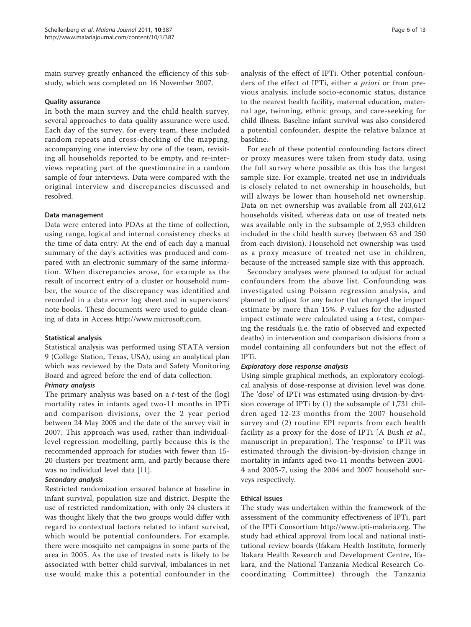main survey greatly enhanced the efficiency of this substudy, which was completed on 16 November 2007.

#### Quality assurance

In both the main survey and the child health survey, several approaches to data quality assurance were used. Each day of the survey, for every team, these included random repeats and cross-checking of the mapping, accompanying one interview by one of the team, revisiting all households reported to be empty, and re-interviews repeating part of the questionnaire in a random sample of four interviews. Data were compared with the original interview and discrepancies discussed and resolved.

#### Data management

Data were entered into PDAs at the time of collection, using range, logical and internal consistency checks at the time of data entry. At the end of each day a manual summary of the day's activities was produced and compared with an electronic summary of the same information. When discrepancies arose, for example as the result of incorrect entry of a cluster or household number, the source of the discrepancy was identified and recorded in a data error log sheet and in supervisors' note books. These documents were used to guide cleaning of data in Access [http://www.microsoft.com.](http://www.microsoft.com)

#### Statistical analysis

Statistical analysis was performed using STATA version 9 (College Station, Texas, USA), using an analytical plan which was reviewed by the Data and Safety Monitoring Board and agreed before the end of data collection.

#### Primary analysis

The primary analysis was based on a  $t$ -test of the (log) mortality rates in infants aged two-11 months in IPTi and comparison divisions, over the 2 year period between 24 May 2005 and the date of the survey visit in 2007. This approach was used, rather than individuallevel regression modelling, partly because this is the recommended approach for studies with fewer than 15- 20 clusters per treatment arm, and partly because there was no individual level data [[11\]](#page-12-0).

#### Secondary analysis

Restricted randomization ensured balance at baseline in infant survival, population size and district. Despite the use of restricted randomization, with only 24 clusters it was thought likely that the two groups would differ with regard to contextual factors related to infant survival, which would be potential confounders. For example, there were mosquito net campaigns in some parts of the area in 2005. As the use of treated nets is likely to be associated with better child survival, imbalances in net use would make this a potential confounder in the analysis of the effect of IPTi. Other potential confounders of the effect of IPTi, either a priori or from previous analysis, include socio-economic status, distance to the nearest health facility, maternal education, maternal age, twinning, ethnic group, and care-seeking for child illness. Baseline infant survival was also considered a potential confounder, despite the relative balance at baseline.

For each of these potential confounding factors direct or proxy measures were taken from study data, using the full survey where possible as this has the largest sample size. For example, treated net use in individuals is closely related to net ownership in households, but will always be lower than household net ownership. Data on net ownership was available from all 243,612 households visited, whereas data on use of treated nets was available only in the subsample of 2,953 children included in the child health survey (between 63 and 250 from each division). Household net ownership was used as a proxy measure of treated net use in children, because of the increased sample size with this approach.

Secondary analyses were planned to adjust for actual confounders from the above list. Confounding was investigated using Poisson regression analysis, and planned to adjust for any factor that changed the impact estimate by more than 15%. P-values for the adjusted impact estimate were calculated using a t-test, comparing the residuals (i.e. the ratio of observed and expected deaths) in intervention and comparison divisions from a model containing all confounders but not the effect of IPTi.

#### Exploratory dose response analysis

Using simple graphical methods, an exploratory ecological analysis of dose-response at division level was done. The 'dose' of IPTi was estimated using division-by-division coverage of IPTi by (1) the subsample of 1,731 children aged 12-23 months from the 2007 household survey and (2) routine EPI reports from each health facility as a proxy for the dose of IPTi [A Bush et al., manuscript in preparation]. The 'response' to IPTi was estimated through the division-by-division change in mortality in infants aged two-11 months between 2001- 4 and 2005-7, using the 2004 and 2007 household surveys respectively.

#### Ethical issues

The study was undertaken within the framework of the assessment of the community effectiveness of IPTi, part of the IPTi Consortium [http://www.ipti-malaria.org.](http://www.ipti-malaria.org) The study had ethical approval from local and national institutional review boards (Ifakara Health Institute, formerly Ifakara Health Research and Development Centre, Ifakara, and the National Tanzania Medical Research Cocoordinating Committee) through the Tanzania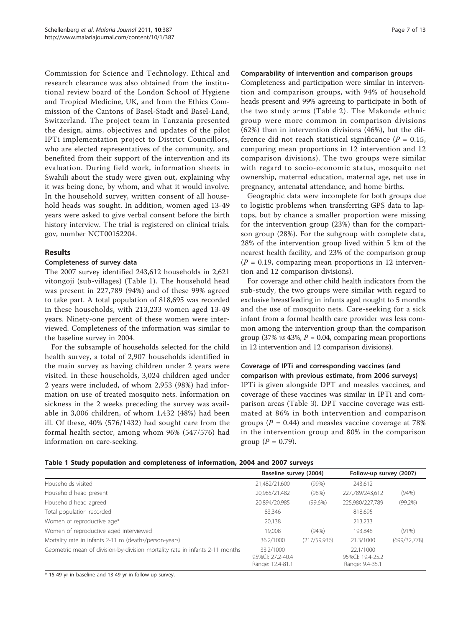Commission for Science and Technology. Ethical and research clearance was also obtained from the institutional review board of the London School of Hygiene and Tropical Medicine, UK, and from the Ethics Commission of the Cantons of Basel-Stadt and Basel-Land, Switzerland. The project team in Tanzania presented the design, aims, objectives and updates of the pilot IPTi implementation project to District Councillors, who are elected representatives of the community, and benefited from their support of the intervention and its evaluation. During field work, information sheets in Swahili about the study were given out, explaining why it was being done, by whom, and what it would involve. In the household survey, written consent of all household heads was sought. In addition, women aged 13-49 years were asked to give verbal consent before the birth history interview. The trial is registered on clinical trials. gov, number NCT00152204.

## Results

#### Completeness of survey data

The 2007 survey identified 243,612 households in 2,621 vitongoji (sub-villages) (Table 1). The household head was present in 227,789 (94%) and of these 99% agreed to take part. A total population of 818,695 was recorded in these households, with 213,233 women aged 13-49 years. Ninety-one percent of these women were interviewed. Completeness of the information was similar to the baseline survey in 2004.

For the subsample of households selected for the child health survey, a total of 2,907 households identified in the main survey as having children under 2 years were visited. In these households, 3,024 children aged under 2 years were included, of whom 2,953 (98%) had information on use of treated mosquito nets. Information on sickness in the 2 weeks preceding the survey was available in 3,006 children, of whom 1,432 (48%) had been ill. Of these, 40% (576/1432) had sought care from the formal health sector, among whom 96% (547/576) had information on care-seeking.

#### Comparability of intervention and comparison groups

Completeness and participation were similar in intervention and comparison groups, with 94% of household heads present and 99% agreeing to participate in both of the two study arms (Table [2](#page-7-0)). The Makonde ethnic group were more common in comparison divisions (62%) than in intervention divisions (46%), but the difference did not reach statistical significance ( $P = 0.15$ , comparing mean proportions in 12 intervention and 12 comparison divisions). The two groups were similar with regard to socio-economic status, mosquito net ownership, maternal education, maternal age, net use in pregnancy, antenatal attendance, and home births.

Geographic data were incomplete for both groups due to logistic problems when transferring GPS data to laptops, but by chance a smaller proportion were missing for the intervention group (23%) than for the comparison group (28%). For the subgroup with complete data, 28% of the intervention group lived within 5 km of the nearest health facility, and 23% of the comparison group  $(P = 0.19$ , comparing mean proportions in 12 intervention and 12 comparison divisions).

For coverage and other child health indicators from the sub-study, the two groups were similar with regard to exclusive breastfeeding in infants aged nought to 5 months and the use of mosquito nets. Care-seeking for a sick infant from a formal health care provider was less common among the intervention group than the comparison group (37% *vs* 43%,  $P = 0.04$ , comparing mean proportions in 12 intervention and 12 comparison divisions).

## Coverage of IPTi and corresponding vaccines (and comparison with previous estimate, from 2006 surveys)

IPTi is given alongside DPT and measles vaccines, and coverage of these vaccines was similar in IPTi and comparison areas (Table [3\)](#page-8-0). DPT vaccine coverage was estimated at 86% in both intervention and comparison groups ( $P = 0.44$ ) and measles vaccine coverage at 78% in the intervention group and 80% in the comparison group ( $P = 0.79$ ).

|  |  | Table 1 Study population and completeness of information, 2004 and 2007 surveys |  |  |
|--|--|---------------------------------------------------------------------------------|--|--|
|  |  |                                                                                 |  |  |

|                                                                              | Baseline survey (2004)                            |              | Follow-up survey (2007)                          |              |
|------------------------------------------------------------------------------|---------------------------------------------------|--------------|--------------------------------------------------|--------------|
| Households visited                                                           | 21,482/21,600                                     | (99%)        | 243.612                                          |              |
| Household head present                                                       | 20,985/21,482                                     | (98%)        | 227,789/243,612                                  | (94%)        |
| Household head agreed                                                        | 20,894/20,985                                     | $(99.6\%)$   | 225,980/227,789                                  | $(99.2\%)$   |
| Total population recorded                                                    | 83,346                                            |              | 818,695                                          |              |
| Women of reproductive age*                                                   | 20.138                                            |              | 213,233                                          |              |
| Women of reproductive aged interviewed                                       | 19.008                                            | (94% )       | 193.848                                          | (91%)        |
| Mortality rate in infants 2-11 m (deaths/person-years)                       | 36.2/1000                                         | (217/59,936) | 21.3/1000                                        | (699/32,778) |
| Geometric mean of division-by-division mortality rate in infants 2-11 months | 33.2/1000<br>95%CI: 27.2-40.4<br>Range: 12.4-81.1 |              | 22.1/1000<br>95%Cl: 19.4-25.2<br>Range: 9.4-35.1 |              |

\* 15-49 yr in baseline and 13-49 yr in follow-up survey.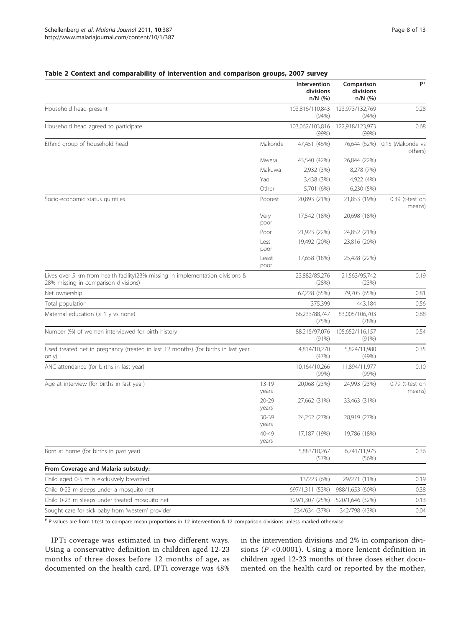<span id="page-7-0"></span>

| Table 2 Context and comparability of intervention and comparison groups, 2007 survey |  |  |  |  |  |
|--------------------------------------------------------------------------------------|--|--|--|--|--|
|--------------------------------------------------------------------------------------|--|--|--|--|--|

|                                                                                                                        |                    | Intervention<br>divisions<br>$n/N$ (%) | Comparison<br>divisions<br>$n/N$ (%) | P*                          |
|------------------------------------------------------------------------------------------------------------------------|--------------------|----------------------------------------|--------------------------------------|-----------------------------|
| Household head present                                                                                                 |                    | 103,816/110,843<br>(94%)               | 123,973/132,769<br>(94%)             | 0.28                        |
| Household head agreed to participate                                                                                   |                    | 103,062/103,816<br>(99% )              | 122,918/123,973<br>(99%)             | 0.68                        |
| Ethnic group of household head                                                                                         | Makonde            | 47,451 (46%)                           | 76,644 (62%)                         | 0.15 (Makonde vs<br>others) |
|                                                                                                                        | Mwera              | 43,540 (42%)                           | 26,844 (22%)                         |                             |
|                                                                                                                        | Makuwa             | 2,932 (3%)                             | 8,278 (7%)                           |                             |
|                                                                                                                        | Yao                | 3,438 (3%)                             | 4,922 (4%)                           |                             |
|                                                                                                                        | Other              | 5,701 (6%)                             | 6,230 (5%)                           |                             |
| Socio-economic status quintiles                                                                                        | Poorest            | 20,893 (21%)                           | 21,853 (19%)                         | 0.39 (t-test on<br>means)   |
|                                                                                                                        | Very<br>poor       | 17,542 (18%)                           | 20,698 (18%)                         |                             |
|                                                                                                                        | Poor               | 21,923 (22%)                           | 24,852 (21%)                         |                             |
|                                                                                                                        | Less<br>poor       | 19,492 (20%)                           | 23,816 (20%)                         |                             |
|                                                                                                                        | Least<br>poor      | 17,658 (18%)                           | 25,428 (22%)                         |                             |
| Lives over 5 km from health facility(23% missing in implementation divisions &<br>28% missing in comparison divisions) |                    | 23,882/85,276<br>(28%)                 | 21,563/95,742<br>(23%)               | 0.19                        |
| Net ownership                                                                                                          |                    | 67,228 (65%)                           | 79,705 (65%)                         | 0.81                        |
| Total population                                                                                                       |                    | 375,399                                | 443,184                              | 0.56                        |
| Maternal education ( $\geq 1$ y vs none)                                                                               |                    | 66,233/88,747<br>(75%)                 | 83,005/106,703<br>(78%)              | 0.88                        |
| Number (%) of women interviewed for birth history                                                                      |                    | 88,215/97,076<br>(91%)                 | 105,652/116,157<br>(91%)             | 0.54                        |
| Used treated net in pregnancy (treated in last 12 months) (for births in last year<br>only)                            |                    | 4,814/10,270<br>(47%)                  | 5,824/11,980<br>(49%)                | 0.35                        |
| ANC attendance (for births in last year)                                                                               |                    | 10,164/10,266<br>(99% )                | 11,894/11,977<br>(99%)               | 0.10                        |
| Age at interview (for births in last year)                                                                             | $13 - 19$<br>years | 20,068 (23%)                           | 24,993 (23%)                         | $0.79$ (t-test on<br>means) |
|                                                                                                                        | $20 - 29$<br>years | 27,662 (31%)                           | 33,463 (31%)                         |                             |
|                                                                                                                        | 30-39<br>years     | 24,252 (27%)                           | 28,919 (27%)                         |                             |
|                                                                                                                        | 40-49<br>years     | 17,187 (19%)                           | 19,786 (18%)                         |                             |
| Born at home (for births in past year)                                                                                 |                    | 5,883/10,267<br>(57%)                  | 6,741/11,975<br>(56%)                | 0.36                        |
| From Coverage and Malaria substudy:                                                                                    |                    |                                        |                                      |                             |
| Child aged 0-5 m is exclusively breastfed                                                                              |                    | 13/223 (6%)                            | 29/271 (11%)                         | 0.19                        |
| Child 0-23 m sleeps under a mosquito net                                                                               |                    | 697/1,311 (53%)                        | 988/1,653 (60%)                      | 0.38                        |
| Child 0-23 m sleeps under treated mosquito net                                                                         |                    | 329/1,307 (25%)                        | 520/1,646 (32%)                      | 0.13                        |
| Sought care for sick baby from 'western' provider                                                                      |                    | 234/634 (37%)                          | 342/798 (43%)                        | 0.04                        |

# P-values are from t-test to compare mean proportions in 12 intervention & 12 comparison divisions unless marked otherwise

IPTi coverage was estimated in two different ways. Using a conservative definition in children aged 12-23 months of three doses before 12 months of age, as documented on the health card, IPTi coverage was 48%

in the intervention divisions and 2% in comparison divisions ( $P < 0.0001$ ). Using a more lenient definition in children aged 12-23 months of three doses either documented on the health card or reported by the mother,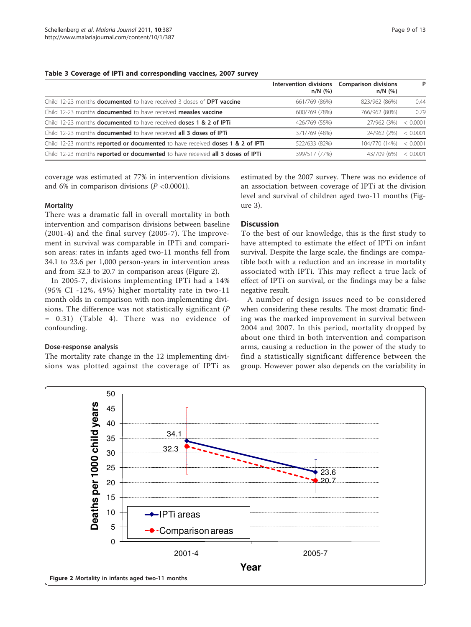#### <span id="page-8-0"></span>Table 3 Coverage of IPTi and corresponding vaccines, 2007 survey

|                                                                                      | Intervention divisions Comparison divisions<br>$n/N$ (%) | $n/N$ (%)     | P        |
|--------------------------------------------------------------------------------------|----------------------------------------------------------|---------------|----------|
| Child 12-23 months <b>documented</b> to have received 3 doses of <b>DPT vaccine</b>  | 661/769 (86%)                                            | 823/962 (86%) | 0.44     |
| Child 12-23 months <b>documented</b> to have received <b>measles vaccine</b>         | 600/769 (78%)                                            | 766/962 (80%) | 0.79     |
| Child 12-23 months <b>documented</b> to have received <b>doses 1 &amp; 2 of IPTi</b> | 426/769 (55%)                                            | 27/962 (3%)   | < 0.0001 |
| Child 12-23 months <b>documented</b> to have received <b>all 3 doses of IPTi</b>     | 371/769 (48%)                                            | 24/962 (2%)   | < 0.0001 |
| Child 12-23 months reported or documented to have received doses 1 & 2 of IPTi       | 522/633 (82%)                                            | 104/770 (14%) | < 0.0001 |
| Child 12-23 months reported or documented to have received all 3 doses of IPTi       | 399/517 (77%)                                            | 43/709 (6%)   | < 0.0001 |

coverage was estimated at 77% in intervention divisions and 6% in comparison divisions  $(P < 0.0001)$ .

#### **Mortality**

There was a dramatic fall in overall mortality in both intervention and comparison divisions between baseline (2001-4) and the final survey (2005-7). The improvement in survival was comparable in IPTi and comparison areas: rates in infants aged two-11 months fell from 34.1 to 23.6 per 1,000 person-years in intervention areas and from 32.3 to 20.7 in comparison areas (Figure 2).

In 2005-7, divisions implementing IPTi had a 14% (95% CI -12%, 49%) higher mortality rate in two-11 month olds in comparison with non-implementing divisions. The difference was not statistically significant (P = 0.31) (Table [4](#page-9-0)). There was no evidence of confounding.

#### Dose-response analysis

The mortality rate change in the 12 implementing divisions was plotted against the coverage of IPTi as

estimated by the 2007 survey. There was no evidence of an association between coverage of IPTi at the division level and survival of children aged two-11 months (Figure [3](#page-9-0)).

## **Discussion**

To the best of our knowledge, this is the first study to have attempted to estimate the effect of IPTi on infant survival. Despite the large scale, the findings are compatible both with a reduction and an increase in mortality associated with IPTi. This may reflect a true lack of effect of IPTi on survival, or the findings may be a false negative result.

A number of design issues need to be considered when considering these results. The most dramatic finding was the marked improvement in survival between 2004 and 2007. In this period, mortality dropped by about one third in both intervention and comparison arms, causing a reduction in the power of the study to find a statistically significant difference between the group. However power also depends on the variability in

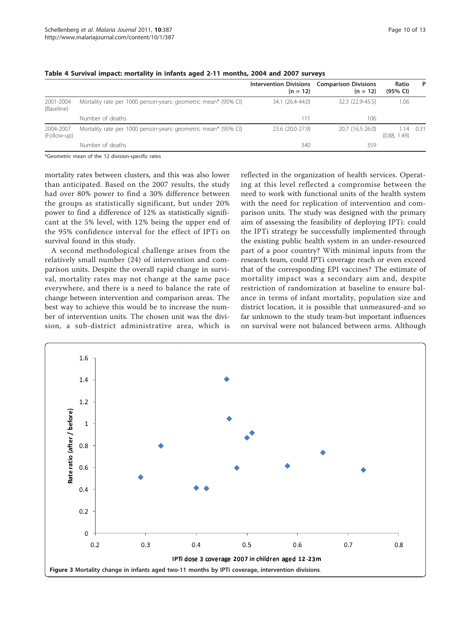|                          |                                                                | Intervention Divisions Comparison Divisions<br>$(n = 12)$ | $(n = 12)$       | Ratio<br>(95% CI)    | P    |
|--------------------------|----------------------------------------------------------------|-----------------------------------------------------------|------------------|----------------------|------|
| 2001-2004<br>(Baseline)  | Mortality rate per 1000 person-years: geometric mean* (95% CI) | 34.1 (26.4-44.0)                                          | 32.3 (22.9-45.5) | 1.06                 |      |
|                          | Number of deaths                                               | 111                                                       | 106              |                      |      |
| 2004-2007<br>(Follow-up) | Mortality rate per 1000 person-years: geometric mean* (95% CI) | 23.6 (20.0-27.9)                                          | 20.7 (16.5-26.0) | 1.14<br>(0.88, 1.49) | 0.31 |
|                          | Number of deaths                                               | 340                                                       | 359              |                      |      |

#### <span id="page-9-0"></span>Table 4 Survival impact: mortality in infants aged 2-11 months, 2004 and 2007 surveys

\*Geometric mean of the 12 division-specific rates

mortality rates between clusters, and this was also lower than anticipated. Based on the 2007 results, the study had over 80% power to find a 30% difference between the groups as statistically significant, but under 20% power to find a difference of 12% as statistically significant at the 5% level, with 12% being the upper end of the 95% confidence interval for the effect of IPTi on survival found in this study.

A second methodological challenge arises from the relatively small number (24) of intervention and comparison units. Despite the overall rapid change in survival, mortality rates may not change at the same pace everywhere, and there is a need to balance the rate of change between intervention and comparison areas. The best way to achieve this would be to increase the number of intervention units. The chosen unit was the division, a sub-district administrative area, which is

reflected in the organization of health services. Operating at this level reflected a compromise between the need to work with functional units of the health system with the need for replication of intervention and comparison units. The study was designed with the primary aim of assessing the feasibility of deploying IPTi: could the IPTi strategy be successfully implemented through the existing public health system in an under-resourced part of a poor country? With minimal inputs from the research team, could IPTi coverage reach or even exceed that of the corresponding EPI vaccines? The estimate of mortality impact was a secondary aim and, despite restriction of randomization at baseline to ensure balance in terms of infant mortality, population size and district location, it is possible that unmeasured-and so far unknown to the study team-but important influences on survival were not balanced between arms. Although

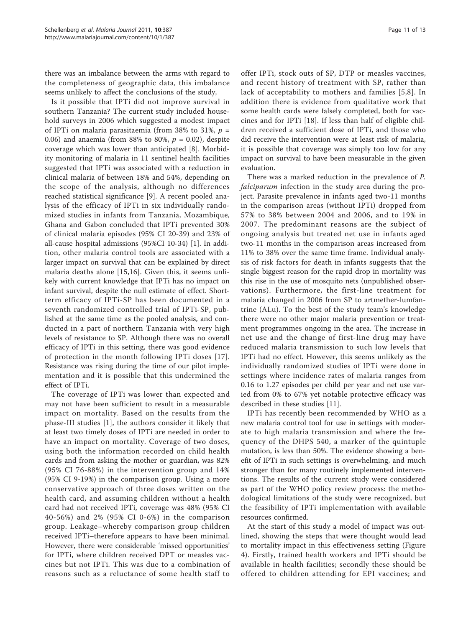there was an imbalance between the arms with regard to the completeness of geographic data, this imbalance seems unlikely to affect the conclusions of the study,

Is it possible that IPTi did not improve survival in southern Tanzania? The current study included household surveys in 2006 which suggested a modest impact of IPTi on malaria parasitaemia (from 38% to 31%,  $p =$ 0.06) and anaemia (from 88% to 80%,  $p = 0.02$ ), despite coverage which was lower than anticipated [\[8](#page-12-0)]. Morbidity monitoring of malaria in 11 sentinel health facilities suggested that IPTi was associated with a reduction in clinical malaria of between 18% and 54%, depending on the scope of the analysis, although no differences reached statistical significance [\[9](#page-12-0)]. A recent pooled analysis of the efficacy of IPTi in six individually randomized studies in infants from Tanzania, Mozambique, Ghana and Gabon concluded that IPTi prevented 30% of clinical malaria episodes (95% CI 20-39) and 23% of all-cause hospital admissions (95%CI 10-34) [\[1](#page-12-0)]. In addition, other malaria control tools are associated with a larger impact on survival that can be explained by direct malaria deaths alone [\[15](#page-12-0),[16\]](#page-12-0). Given this, it seems unlikely with current knowledge that IPTi has no impact on infant survival, despite the null estimate of effect. Shortterm efficacy of IPTi-SP has been documented in a seventh randomized controlled trial of IPTi-SP, published at the same time as the pooled analysis, and conducted in a part of northern Tanzania with very high levels of resistance to SP. Although there was no overall efficacy of IPTi in this setting, there was good evidence of protection in the month following IPTi doses [[17\]](#page-12-0). Resistance was rising during the time of our pilot implementation and it is possible that this undermined the effect of IPTi.

The coverage of IPTi was lower than expected and may not have been sufficient to result in a measurable impact on mortality. Based on the results from the phase-III studies [[1\]](#page-12-0), the authors consider it likely that at least two timely doses of IPTi are needed in order to have an impact on mortality. Coverage of two doses, using both the information recorded on child health cards and from asking the mother or guardian, was 82% (95% CI 76-88%) in the intervention group and 14% (95% CI 9-19%) in the comparison group. Using a more conservative approach of three doses written on the health card, and assuming children without a health card had not received IPTi, coverage was 48% (95% CI 40-56%) and 2% (95% CI 0-6%) in the comparison group. Leakage–whereby comparison group children received IPTi–therefore appears to have been minimal. However, there were considerable 'missed opportunities' for IPTi, where children received DPT or measles vaccines but not IPTi. This was due to a combination of reasons such as a reluctance of some health staff to offer IPTi, stock outs of SP, DTP or measles vaccines, and recent history of treatment with SP, rather than lack of acceptability to mothers and families [\[5,8](#page-12-0)]. In addition there is evidence from qualitative work that some health cards were falsely completed, both for vaccines and for IPTi [[18\]](#page-12-0). If less than half of eligible children received a sufficient dose of IPTi, and those who did receive the intervention were at least risk of malaria, it is possible that coverage was simply too low for any impact on survival to have been measurable in the given evaluation.

There was a marked reduction in the prevalence of P. falciparum infection in the study area during the project. Parasite prevalence in infants aged two-11 months in the comparison areas (without IPTi) dropped from 57% to 38% between 2004 and 2006, and to 19% in 2007. The predominant reasons are the subject of ongoing analysis but treated net use in infants aged two-11 months in the comparison areas increased from 11% to 38% over the same time frame. Individual analysis of risk factors for death in infants suggests that the single biggest reason for the rapid drop in mortality was this rise in the use of mosquito nets (unpublished observations). Furthermore, the first-line treatment for malaria changed in 2006 from SP to artmether-lumfantrine (ALu). To the best of the study team's knowledge there were no other major malaria prevention or treatment programmes ongoing in the area. The increase in net use and the change of first-line drug may have reduced malaria transmission to such low levels that IPTi had no effect. However, this seems unlikely as the individually randomized studies of IPTi were done in settings where incidence rates of malaria ranges from 0.16 to 1.27 episodes per child per year and net use varied from 0% to 67% yet notable protective efficacy was described in these studies [\[11](#page-12-0)].

IPTi has recently been recommended by WHO as a new malaria control tool for use in settings with moderate to high malaria transmission and where the frequency of the DHPS 540, a marker of the quintuple mutation, is less than 50%. The evidence showing a benefit of IPTi in such settings is overwhelming, and much stronger than for many routinely implemented interventions. The results of the current study were considered as part of the WHO policy review process: the methodological limitations of the study were recognized, but the feasibility of IPTi implementation with available resources confirmed.

At the start of this study a model of impact was outlined, showing the steps that were thought would lead to mortality impact in this effectiveness setting (Figure [4\)](#page-11-0). Firstly, trained health workers and IPTi should be available in health facilities; secondly these should be offered to children attending for EPI vaccines; and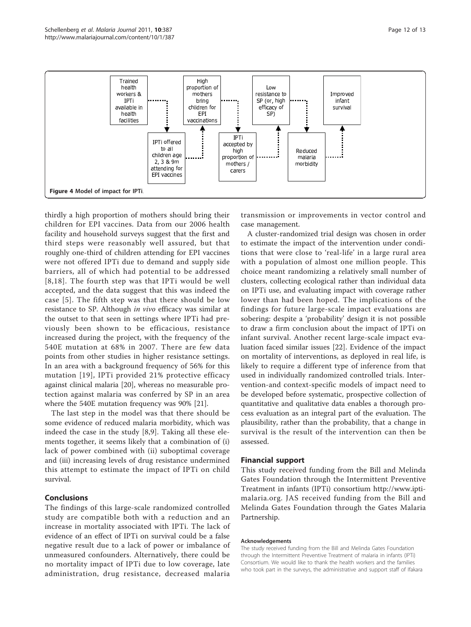<span id="page-11-0"></span>

thirdly a high proportion of mothers should bring their children for EPI vaccines. Data from our 2006 health facility and household surveys suggest that the first and third steps were reasonably well assured, but that roughly one-third of children attending for EPI vaccines were not offered IPTi due to demand and supply side barriers, all of which had potential to be addressed [[8,18\]](#page-12-0). The fourth step was that IPTi would be well accepted, and the data suggest that this was indeed the case [[5](#page-12-0)]. The fifth step was that there should be low resistance to SP. Although in vivo efficacy was similar at the outset to that seen in settings where IPTi had previously been shown to be efficacious, resistance increased during the project, with the frequency of the 540E mutation at 68% in 2007. There are few data points from other studies in higher resistance settings. In an area with a background frequency of 56% for this mutation [[19](#page-12-0)], IPTi provided 21% protective efficacy against clinical malaria [\[20](#page-12-0)], whereas no measurable protection against malaria was conferred by SP in an area where the 540E mutation frequency was 90% [[21](#page-12-0)].

The last step in the model was that there should be some evidence of reduced malaria morbidity, which was indeed the case in the study [[8,9](#page-12-0)]. Taking all these elements together, it seems likely that a combination of (i) lack of power combined with (ii) suboptimal coverage and (iii) increasing levels of drug resistance undermined this attempt to estimate the impact of IPTi on child survival.

## Conclusions

The findings of this large-scale randomized controlled study are compatible both with a reduction and an increase in mortality associated with IPTi. The lack of evidence of an effect of IPTi on survival could be a false negative result due to a lack of power or imbalance of unmeasured confounders. Alternatively, there could be no mortality impact of IPTi due to low coverage, late administration, drug resistance, decreased malaria

transmission or improvements in vector control and case management.

A cluster-randomized trial design was chosen in order to estimate the impact of the intervention under conditions that were close to 'real-life' in a large rural area with a population of almost one million people. This choice meant randomizing a relatively small number of clusters, collecting ecological rather than individual data on IPTi use, and evaluating impact with coverage rather lower than had been hoped. The implications of the findings for future large-scale impact evaluations are sobering: despite a 'probability' design it is not possible to draw a firm conclusion about the impact of IPTi on infant survival. Another recent large-scale impact evaluation faced similar issues [[22\]](#page-12-0). Evidence of the impact on mortality of interventions, as deployed in real life, is likely to require a different type of inference from that used in individually randomized controlled trials. Intervention-and context-specific models of impact need to be developed before systematic, prospective collection of quantitative and qualitative data enables a thorough process evaluation as an integral part of the evaluation. The plausibility, rather than the probability, that a change in survival is the result of the intervention can then be assessed.

#### Financial support

This study received funding from the Bill and Melinda Gates Foundation through the Intermittent Preventive Treatment in infants (IPTi) consortium [http://www.ipti](http://www.ipti-malaria.org)[malaria.org](http://www.ipti-malaria.org). JAS received funding from the Bill and Melinda Gates Foundation through the Gates Malaria Partnership.

#### Acknowledgements

The study received funding from the Bill and Melinda Gates Foundation through the Intermittent Preventive Treatment of malaria in infants (IPTi) Consortium. We would like to thank the health workers and the families who took part in the surveys, the administrative and support staff of Ifakara